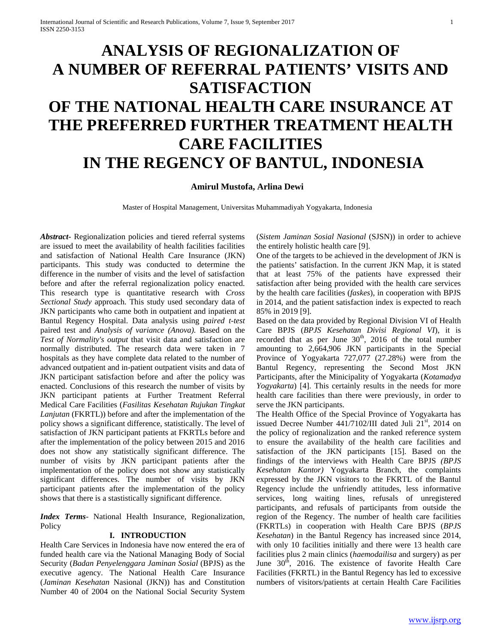# **ANALYSIS OF REGIONALIZATION OF A NUMBER OF REFERRAL PATIENTS' VISITS AND SATISFACTION OF THE NATIONAL HEALTH CARE INSURANCE AT THE PREFERRED FURTHER TREATMENT HEALTH CARE FACILITIES IN THE REGENCY OF BANTUL, INDONESIA**

### **Amirul Mustofa, Arlina Dewi**

Master of Hospital Management, Universitas Muhammadiyah Yogyakarta, Indonesia

*Abstract***-** Regionalization policies and tiered referral systems are issued to meet the availability of health facilities facilities and satisfaction of National Health Care Insurance (JKN) participants. This study was conducted to determine the difference in the number of visits and the level of satisfaction before and after the referral regionalization policy enacted. This research type is quantitative research with *Cross Sectional Study* approach. This study used secondary data of JKN participants who came both in outpatient and inpatient at Bantul Regency Hospital. Data analysis using *paired t-test* paired test and *Analysis of variance (Anova).* Based on the *Test of Normality's output* that visit data and satisfaction are normally distributed. The research data were taken in 7 hospitals as they have complete data related to the number of advanced outpatient and in-patient outpatient visits and data of JKN participant satisfaction before and after the policy was enacted. Conclusions of this research the number of visits by JKN participant patients at Further Treatment Referral Medical Care Facilities (*Fasilitas Kesehatan Rujukan Tingkat Lanjutan* (FKRTL)) before and after the implementation of the policy shows a significant difference, statistically. The level of satisfaction of JKN participant patients at FKRTLs before and after the implementation of the policy between 2015 and 2016 does not show any statistically significant difference. The number of visits by JKN participant patients after the implementation of the policy does not show any statistically significant differences. The number of visits by JKN participant patients after the implementation of the policy shows that there is a stastistically significant difference.

*Index Terms*- National Health Insurance, Regionalization, Policy

#### **I. INTRODUCTION**

Health Care Services in Indonesia have now entered the era of funded health care via the National Managing Body of Social Security (*Badan Penyelenggara Jaminan Sosial* (BPJS) as the executive agency. The National Health Care Insurance (*Jaminan Kesehatan* Nasional (JKN)) has and Constitution Number 40 of 2004 on the National Social Security System

(*Sistem Jaminan Sosial Nasional* (SJSN)) in order to achieve the entirely holistic health care [9].

One of the targets to be achieved in the development of JKN is the patients' satisfaction. In the current JKN Map, it is stated that at least 75% of the patients have expressed their satisfaction after being provided with the health care services by the health care facilities (*faskes*), in cooperation with BPJS in 2014, and the patient satisfaction index is expected to reach 85% in 2019 [9].

Based on the data provided by Regional Division VI of Health Care BPJS (*BPJS Kesehatan Divisi Regional VI*), it is recorded that as per June  $30<sup>th</sup>$ , 2016 of the total number amounting to 2,664,906 JKN participants in the Special Province of Yogyakarta 727,077 (27.28%) were from the Bantul Regency, representing the Second Most JKN Participants, after the Minicipality of Yogyakarta (*Kotamadya Yogyakarta*) [4]. This certainly results in the needs for more health care facilities than there were previously, in order to serve the JKN participants.

The Health Office of the Special Province of Yogyakarta has issued Decree Number 441/7102/III dated Juli 21<sup>st</sup>, 2014 on the policy of regionalization and the ranked reference system to ensure the availability of the health care facilities and satisfaction of the JKN participants [15]. Based on the findings of the interviews with Health Care BPJS *(BPJS Kesehatan Kantor)* Yogyakarta Branch, the complaints expressed by the JKN visitors to the FKRTL of the Bantul Regency include the unfriendly attitudes, less informative services, long waiting lines, refusals of unregistered participants, and refusals of participants from outside the region of the Regency. The number of health care facilities (FKRTLs) in cooperation with Health Care BPJS (*BPJS Kesehatan*) in the Bantul Regency has increased since 2014, with only 10 facilities initially and there were 13 health care facilities plus 2 main clinics (*haemodailisa* and surgery) as per June  $30<sup>th</sup>$ , 2016. The existence of favorite Health Care Facilities (FKRTL) in the Bantul Regency has led to excessive numbers of visitors/patients at certain Health Care Facilities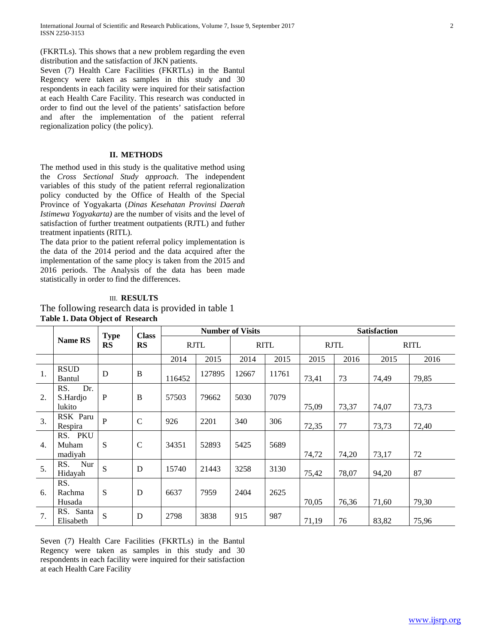(FKRTLs). This shows that a new problem regarding the even distribution and the satisfaction of JKN patients.

Seven (7) Health Care Facilities (FKRTLs) in the Bantul Regency were taken as samples in this study and 30 respondents in each facility were inquired for their satisfaction at each Health Care Facility. This research was conducted in order to find out the level of the patients' satisfaction before and after the implementation of the patient referral regionalization policy (the policy).

### **II. METHODS**

The method used in this study is the qualitative method using the *Cross Sectional Study approach*. The independent variables of this study of the patient referral regionalization policy conducted by the Office of Health of the Special Province of Yogyakarta (*Dinas Kesehatan Provinsi Daerah Istimewa Yogyakarta)* are the number of visits and the level of satisfaction of further treatment outpatients (RJTL) and futher treatment inpatients (RITL).

The data prior to the patient referral policy implementation is the data of the 2014 period and the data acquired after the implementation of the same plocy is taken from the 2015 and 2016 periods. The Analysis of the data has been made statistically in order to find the differences.

# III. **RESULTS**

The following research data is provided in table 1 **Table 1. Data Object of Research**

|    |                                  | <b>Type</b>            | <b>Class</b>  | <b>Number of Visits</b> |        |             |       | <b>Satisfaction</b> |       |             |       |
|----|----------------------------------|------------------------|---------------|-------------------------|--------|-------------|-------|---------------------|-------|-------------|-------|
|    | <b>Name RS</b>                   | <b>RS</b><br><b>RS</b> |               | <b>RJTL</b>             |        | <b>RITL</b> |       | <b>RJTL</b>         |       | <b>RITL</b> |       |
|    |                                  |                        |               | 2014                    | 2015   | 2014        | 2015  | 2015                | 2016  | 2015        | 2016  |
| 1. | <b>RSUD</b><br>Bantul            | D                      | B             | 116452                  | 127895 | 12667       | 11761 | 73,41               | 73    | 74,49       | 79,85 |
| 2. | Dr.<br>RS.<br>S.Hardjo<br>lukito | ${\bf P}$              | B             | 57503                   | 79662  | 5030        | 7079  | 75,09               | 73,37 | 74,07       | 73,73 |
| 3. | RSK Paru<br>Respira              | $\mathbf{P}$           | $\mathcal{C}$ | 926                     | 2201   | 340         | 306   | 72,35               | 77    | 73,73       | 72,40 |
| 4. | RS. PKU<br>Muham<br>madiyah      | S                      | $\mathcal{C}$ | 34351                   | 52893  | 5425        | 5689  | 74,72               | 74,20 | 73,17       | 72    |
| 5. | RS.<br>Nur<br>Hidayah            | S                      | D             | 15740                   | 21443  | 3258        | 3130  | 75,42               | 78,07 | 94,20       | 87    |
| 6. | RS.<br>Rachma<br>Husada          | S                      | D             | 6637                    | 7959   | 2404        | 2625  | 70,05               | 76,36 | 71,60       | 79,30 |
| 7. | RS. Santa<br>Elisabeth           | S                      | D             | 2798                    | 3838   | 915         | 987   | 71,19               | 76    | 83,82       | 75,96 |

Seven (7) Health Care Facilities (FKRTLs) in the Bantul Regency were taken as samples in this study and 30 respondents in each facility were inquired for their satisfaction at each Health Care Facility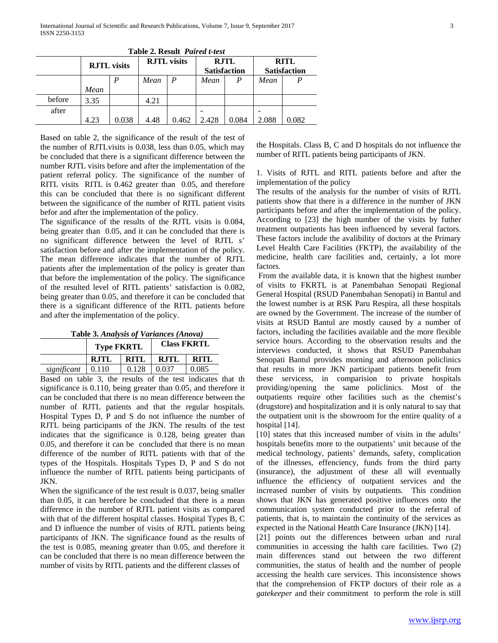|        | <b>RJTL</b> visits |       | <b>RJTL</b> visits |       | <b>RJTL</b><br><b>Satisfaction</b> |       | <b>RITL</b><br><b>Satisfaction</b> |       |
|--------|--------------------|-------|--------------------|-------|------------------------------------|-------|------------------------------------|-------|
|        |                    | P     | Mean               |       | Mean                               |       | Mean                               |       |
|        | Mean               |       |                    |       |                                    |       |                                    |       |
| before | 3.35               |       | 4.21               |       |                                    |       |                                    |       |
| after  |                    |       |                    |       |                                    |       |                                    |       |
|        | 4.23               | 0.038 | 4.48               | 0.462 | 2.428                              | 0.084 | 2.088                              | 0.082 |

**Table 2. Result** *Paired t-test*

Based on table 2, the significance of the result of the test of the number of RJTLvisits is 0.038, less than 0.05, which may be concluded that there is a significant difference between the number RJTL visits before and after the implementation of the patient referral policy. The significance of the number of RITL visits RITL is 0.462 greater than 0.05, and therefore this can be concluded that there is no significant different between the significance of the number of RITL patient visits befor and after the implementation of the policy.

The significance of the results of the RJTL visits is 0.084, being greater than 0.05, and it can be concluded that there is no significant difference between the level of RJTL s' satisfaction before and after the implementation of the policy. The mean difference indicates that the number of RJTL patients after the implementation of the policy is greater than that before the implementation of the policy. The significance of the resulted level of RITL patients' satisfaction is 0.082, being greater than 0.05, and therefore it can be concluded that there is a significant difference of the RITL patients before and after the implementation of the policy.

| Table 3. Analysis of Variances (Anova) |  |
|----------------------------------------|--|
|----------------------------------------|--|

|             | <b>Type FKRTL</b>   |       | <b>Class FKRTL</b> |       |  |
|-------------|---------------------|-------|--------------------|-------|--|
|             | <b>RJTL</b><br>RITL |       | <b>RJTL</b>        | RITL  |  |
| significant | 0.110               | 0.128 | 0.037              | 0.085 |  |

Based on table 3, the results of the test indicates that th significance is 0.110, being greater than 0.05, and therefore it can be concluded that there is no mean difference between the number of RJTL patients and that the regular hospitals. Hospital Types D, P and S do not influence the number of RJTL being participants of the JKN. The results of the test indicates that the significance is 0.128, being greater than 0.05, and therefore it can be concluded that there is no mean difference of the number of RITL patients with that of the types of the Hospitals. Hospitals Types D, P and S do not influence the number of RITL patients being participants of JKN.

When the significance of the test result is 0.037, being smaller than 0.05, it can herefore be concluded that there is a mean difference in the number of RJTL patient visits as compared with that of the different hospital classes. Hospital Types B, C and D influence the number of visits of RJTL patients being participants of JKN. The significance found as the results of the test is 0.085, meaning greater than 0.05, and therefore it can be concluded that there is no mean difference between the number of visits by RITL patients and the different classes of

the Hospitals. Class B, C and D hospitals do not influence the number of RITL patients being participants of JKN.

1. Visits of RJTL and RITL patients before and after the implementation of the policy

The results of the analysis for the number of visits of RJTL patients show that there is a difference in the number of JKN participants before and after the implementation of the policy. According to [23] the high number of the visits by futher treatment outpatients has been influenced by several factors. These factors include the avalibility of doctors at the Primary Level Health Care Facilities (FKTP), the availability of the medicine, health care facilities and, certainly, a lot more factors.

From the available data, it is known that the highest number of visits to FKRTL is at Panembahan Senopati Regional General Hospital (RSUD Panembahan Senopati) in Bantul and the lowest number is at RSK Paru Respira, all these hospitals are owned by the Government. The increase of the number of visits at RSUD Bantul are mostly caused by a number of factors, including the facilities available and the more flexible service hours. According to the observation results and the interviews conducted, it shows that RSUD Panembahan Senopati Bantul provides morning and afternoon policlinics that results in more JKN participant patients benefit from these servicess, in comparision to private hospitals providing/opening the same policlinics. Most of the outpatients require other facilities such as the chemist's (drugstore) and hospitalization and it is only natural to say that the outpatient unit is the showroom for the entire quality of a hospital [14].

[10] states that this increased number of visits in the adults' hospitals benefits more to the outpatients' unit because of the medical technology, patients' demands, safety, complication of the illnesses, effenciency, funds from the third party (insurance), the adjustment of these all will eventually influence the efficiency of outpatient services and the increased number of visits by outpatients. This condition shows that JKN has generated positive influences onto the communication system conducted prior to the referral of patients, that is, to maintain the continuity of the services as expected in the National Heatth Care Insurance (JKN) [14].

[21] points out the differences between urban and rural communities in accessing the halth care facilities. Two (2) main differences stand out between the two different communities, the status of health and the number of people accessing the health care services. This inconsistence shows that the comprehension of FKTP doctors of their role as a *gatekeeper* and their commitment to perform the role is still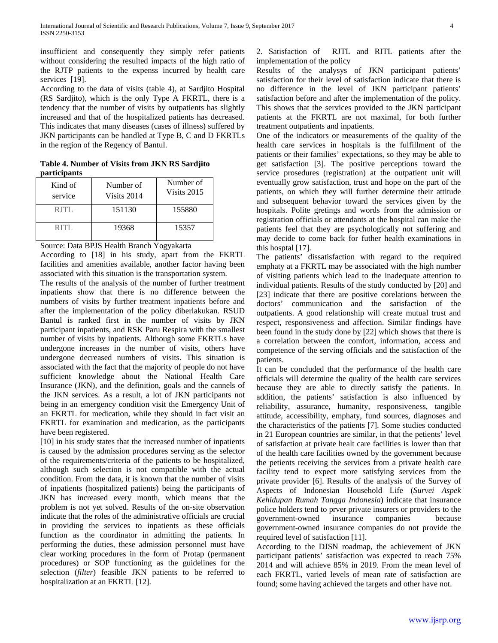insufficient and consequently they simply refer patients without considering the resulted impacts of the high ratio of the RJTP patients to the expenss incurred by health care services [19].

According to the data of visits (table 4), at Sardjito Hospital (RS Sardjito), which is the only Type A FKRTL, there is a tendency that the number of visits by outpatients has slightly increased and that of the hospitalized patients has decreased. This indicates that many diseases (cases of illness) suffered by JKN participants can be handled at Type B, C and D FKRTLs in the region of the Regency of Bantul.

**Table 4. Number of Visits from JKN RS Sardjito participants**

| Kind of<br>service | Number of<br>Visits 2014 | Number of<br>Visits 2015 |  |  |
|--------------------|--------------------------|--------------------------|--|--|
| RITL               | 151130                   | 155880                   |  |  |
| RITI.              | 19368                    | 15357                    |  |  |

Source: Data BPJS Health Branch Yogyakarta

According to [18] in his study, apart from the FKRTL facilities and amenities available, another factor having been associated with this situation is the transportation system.

The results of the analysis of the number of further treatment inpatients show that there is no difference between the numbers of visits by further treatment inpatients before and after the implementation of the policy diberlakukan. RSUD Bantul is ranked first in the number of visits by JKN participant inpatients, and RSK Paru Respira with the smallest number of visits by inpatients. Although some FKRTLs have undergone increases in the number of visits, others have undergone decreased numbers of visits. This situation is associated with the fact that the majority of people do not have sufficient knowledge about the National Health Care Insurance (JKN), and the definition, goals and the cannels of the JKN services. As a result, a lot of JKN participants not being in an emergency condition visit the Emergency Unit of an FKRTL for medication, while they should in fact visit an FKRTL for examination and medication, as the participants have been registered.

[10] in his study states that the increased number of inpatients is caused by the admission procedures serving as the selector of the requirements/criteria of the patients to be hospitalized, although such selection is not compatible with the actual condition. From the data, it is known that the number of visits of inpatients (hospitalized patients) being the participants of JKN has increased every month, which means that the problem is not yet solved. Results of the on-site observation indicate that the roles of the administrative officials are crucial in providing the services to inpatients as these officials function as the coordinator in admitting the patients. In performing the duties, these admission personnel must have clear working procedures in the form of Protap (permanent procedures) or SOP functioning as the guidelines for the selection (*filter*) feasible JKN patients to be referred to hospitalization at an FKRTL [12].

2. Satisfaction of RJTL and RITL patients after the implementation of the policy

Results of the analysys of JKN participant patients' satisfaction for their level of satisfaction indicate that there is no difference in the level of JKN participant patients' satisfaction before and after the implementation of the policy. This shows that the services provided to the JKN participant patients at the FKRTL are not maximal, for both further treatment outpatients and inpatients.

One of the indicators or measurements of the quality of the health care services in hospitals is the fulfillment of the patients or their families' expectations, so they may be able to get satisfaction [3]. The positive perceptions toward the service prosedures (registration) at the outpatient unit will eventually grow satisfaction, trust and hope on the part of the patients, on which they will further determine their attitude and subsequent behavior toward the services given by the hospitals. Polite gretings and words from the admission or registration officials or attendants at the hospital can make the patients feel that they are psychologically not suffering and may decide to come back for futher health examinations in this hosptal [17].

The patients' dissatisfaction with regard to the required emphaty at a FKRTL may be associated with the high number of visiting patients which lead to the inadequate attention to individual patients. Results of the study conducted by [20] and [23] indicate that there are positive corelations between the doctors' communication and the satisfaction of the outpatients. A good relationship will create mutual trust and respect, responsiveness and affection. Similar findings have been found in the study done by [22] which shows that there is a correlation between the comfort, information, access and competence of the serving officials and the satisfaction of the patients.

It can be concluded that the performance of the health care officials will determine the quality of the health care services because they are able to directly satisfy the patients. In addition, the patients' satisfaction is also influenced by reliability, assurance, humanity, responsiveness, tangible attitud*e,* accessibility, emphaty, fund sources, diagnoses and the characteristics of the patients [7]. Some studies conducted in 21 European countries are similar, in that the petients' level of satisfaction at private healt care facilities is lower than that of the health care facilities owned by the government because the petients receiving the services from a private health care facility tend to expect more satisfying services from the private provider [6]. Results of the analysis of the Survey of Aspects of Indonesian Household Life (*Survei Aspek Kehidupan Rumah Tangga Indonesia*) indicate that insurance police holders tend to prver private insurers or providers to the government-owned insurance companies because government-owned insurance companies do not provide the required level of satisfaction [11].

According to the DJSN roadmap, the achievement of JKN participant patients' satisfaction was expected to reach 75% 2014 and will achieve 85% in 2019. From the mean level of each FKRTL, varied levels of mean rate of satisfaction are found; some having achieved the targets and other have not.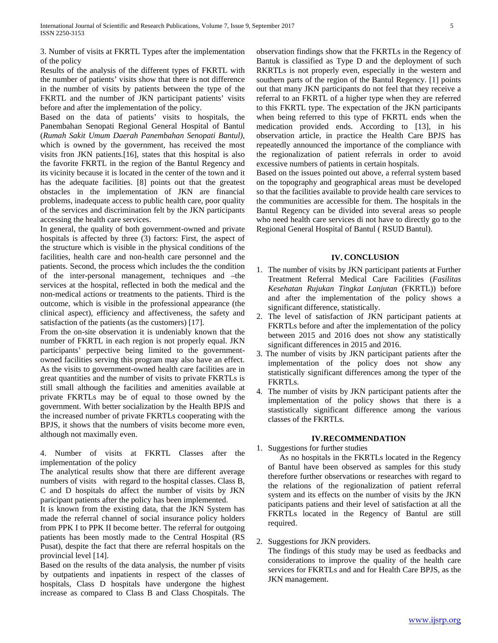3. Number of visits at FKRTL Types after the implementation of the policy

Results of the analysis of the different types of FKRTL with the number of patients' visits show that there is not difference in the number of visits by patients between the type of the FKRTL and the number of JKN participant patients' visits before and after the implementation of the policy.

Based on the data of patients' visits to hospitals, the Panembahan Senopati Regional General Hospital of Bantul (*Rumah Sakit Umum Daerah Panembahan Senopati Bantul)*, which is owned by the government, has received the most visits fron JKN patients.[16], states that this hospital is also the favorite FKRTL in the region of the Bantul Regency and its vicinity because it is located in the center of the town and it has the adequate facilities. [8] points out that the greatest obstacles in the implementation of JKN are financial problems, inadequate access to public health care, poor quality of the services and discrimination felt by the JKN participants accessing the health care services.

In general, the quality of both government-owned and private hospitals is affected by three (3) factors: First, the aspect of the structure which is visible in the physical conditions of the facilities, health care and non-health care personnel and the patients. Second, the process which includes the the condition of the inter-personal management, techniques and –the services at the hospital, reflected in both the medical and the non-medical actions or treatments to the patients. Third is the outcom*e*, which is visible in the professional appearance (the clinical aspect), efficiency and affectiveness, the safety and satisfaction of the patients (as the customers) [17].

From the on-site observation it is undeniably known that the number of FKRTL in each region is not properly equal. JKN participants' perpective being limited to the governmentowned facilities serving this program may also have an effect. As the visits to government-owned health care facilities are in great quantities and the number of visits to private FKRTLs is still small although the facilities and amenities available at private FKRTLs may be of equal to those owned by the government. With better socialization by the Health BPJS and the increased number of private FKRTLs cooperating with the BPJS, it shows that the numbers of visits become more even, although not maximally even.

4. Number of visits at FKRTL Classes after the implementation of the policy

The analytical results show that there are different average numbers of visits with regard to the hospital classes. Class B, C and D hospitals do affect the number of visits by JKN paricipant patients after the policy has been implemented.

It is known from the existing data, that the JKN System has made the referral channel of social insurance policy holders from PPK I to PPK II become better. The referral for outgoing patients has been mostly made to the Central Hospital (RS Pusat), despite the fact that there are referral hospitals on the provincial level [14].

Based on the results of the data analysis, the number pf visits by outpatients and inpatients in respect of the classes of hospitals, Class D hospitals have undergone the highest increase as compared to Class B and Class Chospitals. The observation findings show that the FKRTLs in the Regency of Bantuk is classified as Type D and the deployment of such RKRTLs is not properly even, especially in the western and southern parts of the region of the Bantul Regency. [1] points out that many JKN participants do not feel that they receive a referral to an FKRTL of a higher type when they are referred to this FKRTL type. The expectation of the JKN participants when being referred to this type of FKRTL ends when the medication provided ends. According to [13], in his observation article, in practice the Health Care BPJS has repeatedly announced the importance of the compliance with the regionalization of patient referrals in order to avoid excessive numbers of patients in certain hospitals.

Based on the issues pointed out above, a referral system based on the topography and geographical areas must be developed so that the facilities available to provide health care services to the communities are accessible for them. The hospitals in the Bantul Regency can be divided into several areas so people who need health care services di not have to directly go to the Regional General Hospital of Bantul ( RSUD Bantul).

#### **IV. CONCLUSION**

- 1. The number of visits by JKN participant patients at Further Treatment Referral Medical Care Facilities (*Fasilitas Kesehatan Rujukan Tingkat Lanjutan* (FKRTL)) before and after the implementation of the policy shows a significant difference, statistically.
- 2. The level of satisfaction of JKN participant patients at FKRTLs before and after the implementation of the policy between 2015 and 2016 does not show any statistically significant differences in 2015 and 2016.
- 3. The number of visits by JKN participant patients after the implementation of the policy does not show any statistically significant differences among the typer of the FKRTLs.
- 4. The number of visits by JKN participant patients after the implementation of the policy shows that there is a stastistically significant difference among the various classes of the FKRTLs.

#### **IV.RECOMMENDATION**

1. Suggestions for further studies

As no hospitals in the FKRTLs located in the Regency of Bantul have been observed as samples for this study therefore further observations or researches with regard to the relations of the regionalization of patient referral system and its effects on the number of visits by the JKN paticipants patiens and their level of satisfaction at all the FKRTLs located in the Regency of Bantul are still required.

## 2. Suggestions for JKN providers.

The findings of this study may be used as feedbacks and considerations to improve the quality of the health care services for FKRTLs and and for Health Care BPJS, as the JKN management.